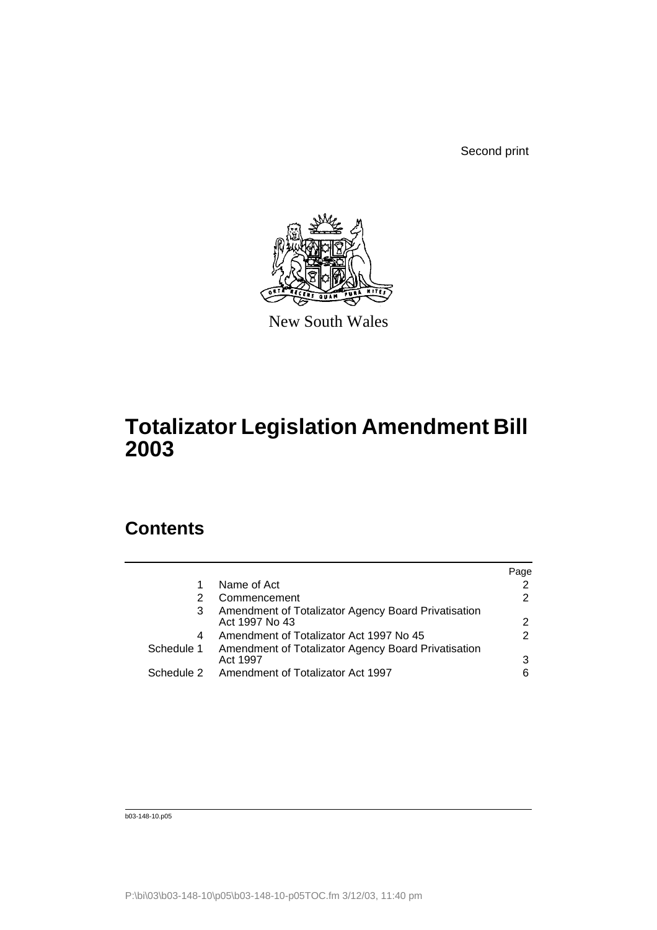Second print



New South Wales

# **Totalizator Legislation Amendment Bill 2003**

## **Contents**

|            |                                                                       | Page |
|------------|-----------------------------------------------------------------------|------|
|            | Name of Act                                                           | 2    |
| 2          | Commencement                                                          | 2    |
| 3          | Amendment of Totalizator Agency Board Privatisation<br>Act 1997 No 43 | 2    |
| 4          | Amendment of Totalizator Act 1997 No 45                               | 2    |
| Schedule 1 | Amendment of Totalizator Agency Board Privatisation<br>Act 1997       | 3    |
| Schedule 2 | Amendment of Totalizator Act 1997                                     | 6    |

b03-148-10.p05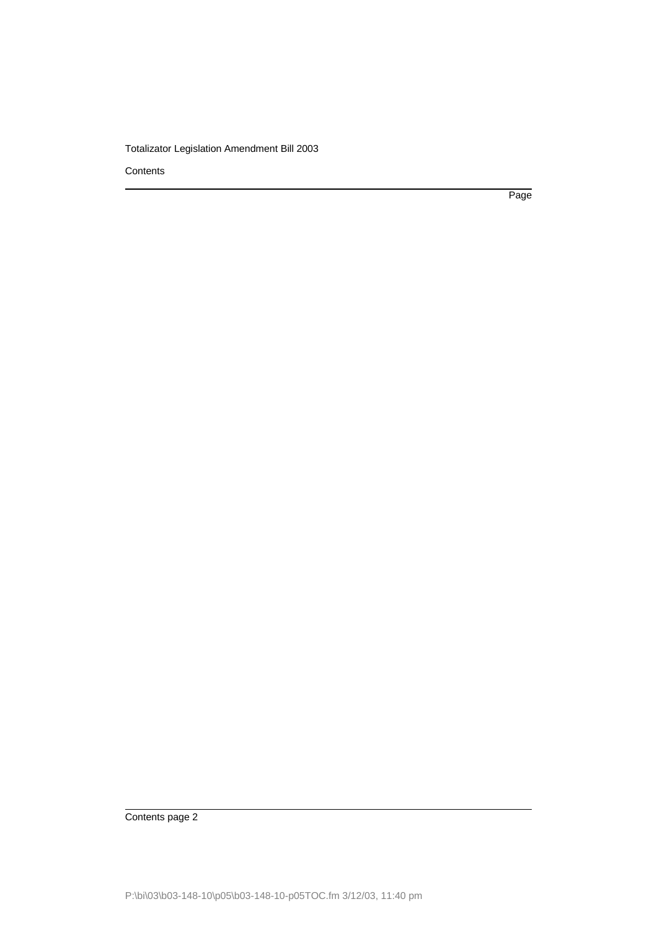**Contents** 

Page

Contents page 2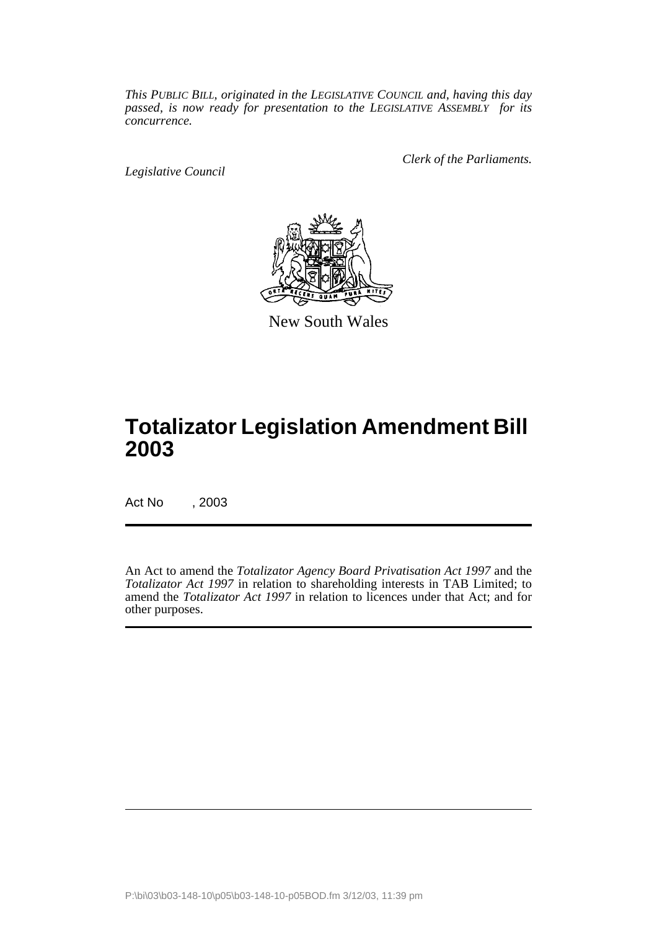*This PUBLIC BILL, originated in the LEGISLATIVE COUNCIL and, having this day passed, is now ready for presentation to the LEGISLATIVE ASSEMBLY for its concurrence.*

*Legislative Council*

*Clerk of the Parliaments.*



New South Wales

### **Totalizator Legislation Amendment Bill 2003**

Act No , 2003

An Act to amend the *Totalizator Agency Board Privatisation Act 1997* and the *Totalizator Act 1997* in relation to shareholding interests in TAB Limited; to amend the *Totalizator Act 1997* in relation to licences under that Act; and for other purposes.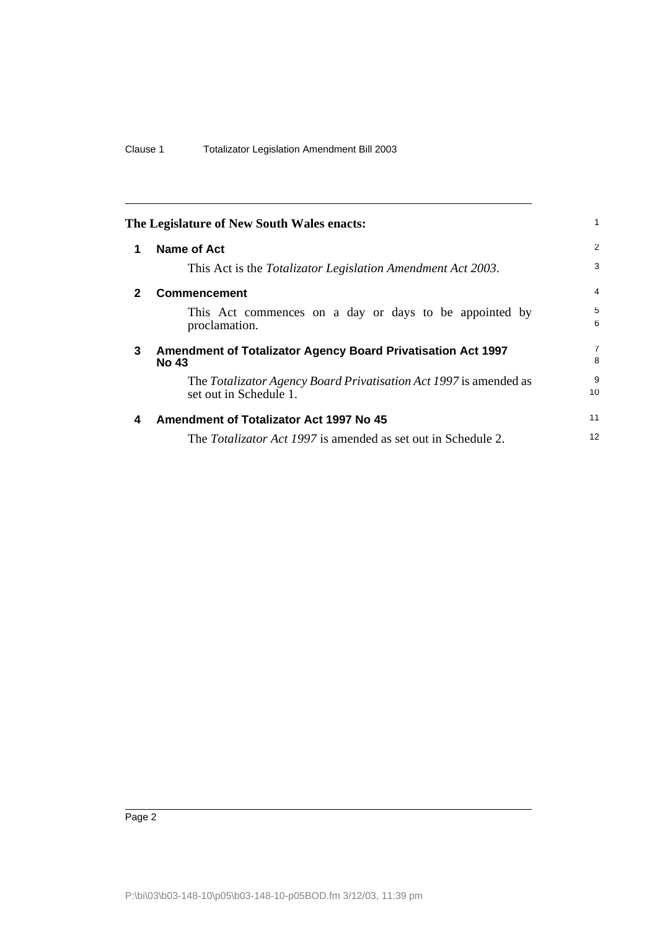<span id="page-3-3"></span><span id="page-3-2"></span><span id="page-3-1"></span><span id="page-3-0"></span>

| The Legislature of New South Wales enacts: |                                                                                             |                     |
|--------------------------------------------|---------------------------------------------------------------------------------------------|---------------------|
| 1                                          | Name of Act                                                                                 | 2                   |
|                                            | This Act is the <i>Totalizator Legislation Amendment Act 2003</i> .                         | 3                   |
| $\mathbf{2}$                               | <b>Commencement</b>                                                                         | $\overline{4}$      |
|                                            | This Act commences on a day or days to be appointed by<br>proclamation.                     | 5<br>6              |
| 3                                          | Amendment of Totalizator Agency Board Privatisation Act 1997<br><b>No 43</b>                | $\overline{7}$<br>8 |
|                                            | The Totalizator Agency Board Privatisation Act 1997 is amended as<br>set out in Schedule 1. | 9<br>10             |
| 4                                          | <b>Amendment of Totalizator Act 1997 No 45</b>                                              | 11                  |
|                                            | The <i>Totalizator Act 1997</i> is amended as set out in Schedule 2.                        | 12                  |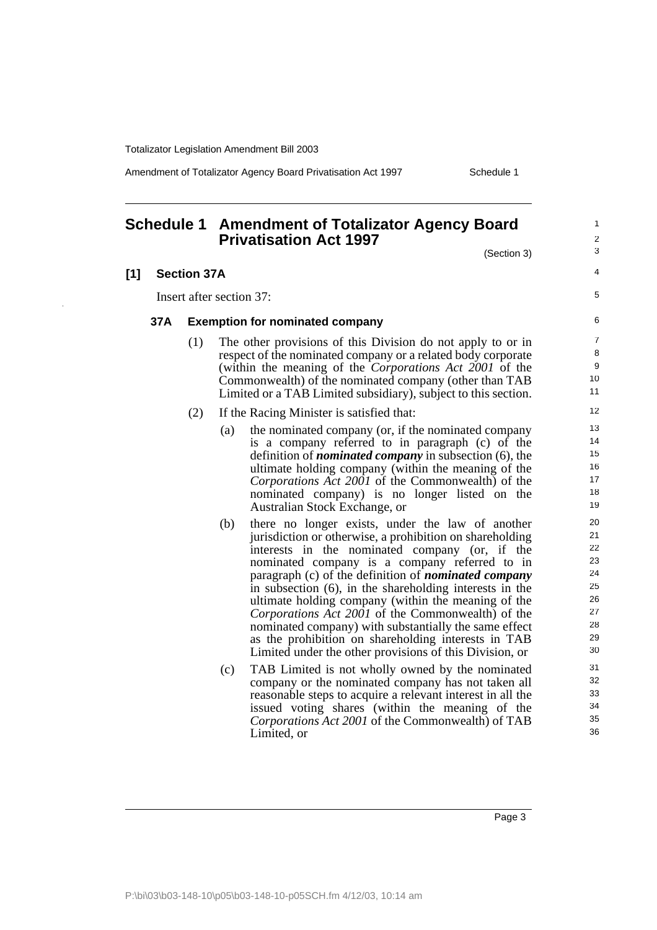Amendment of Totalizator Agency Board Privatisation Act 1997 Schedule 1

### <span id="page-4-0"></span>**Schedule 1 Amendment of Totalizator Agency Board Privatisation Act 1997**

(Section 3)

5

### **[1] Section 37A**

Insert after section 37:

#### **37A Exemption for nominated company**

(1) The other provisions of this Division do not apply to or in respect of the nominated company or a related body corporate (within the meaning of the *Corporations Act 2001* of the Commonwealth) of the nominated company (other than TAB Limited or a TAB Limited subsidiary), subject to this section.

#### (2) If the Racing Minister is satisfied that:

- (a) the nominated company (or, if the nominated company is a company referred to in paragraph (c) of the definition of *nominated company* in subsection (6), the ultimate holding company (within the meaning of the *Corporations Act 2001* of the Commonwealth) of the nominated company) is no longer listed on the Australian Stock Exchange, or
- (b) there no longer exists, under the law of another jurisdiction or otherwise, a prohibition on shareholding interests in the nominated company (or, if the nominated company is a company referred to in paragraph (c) of the definition of *nominated company* in subsection (6), in the shareholding interests in the ultimate holding company (within the meaning of the *Corporations Act 2001* of the Commonwealth) of the nominated company) with substantially the same effect as the prohibition on shareholding interests in TAB Limited under the other provisions of this Division, or
- (c) TAB Limited is not wholly owned by the nominated company or the nominated company has not taken all reasonable steps to acquire a relevant interest in all the issued voting shares (within the meaning of the *Corporations Act 2001* of the Commonwealth) of TAB Limited, or

Page 3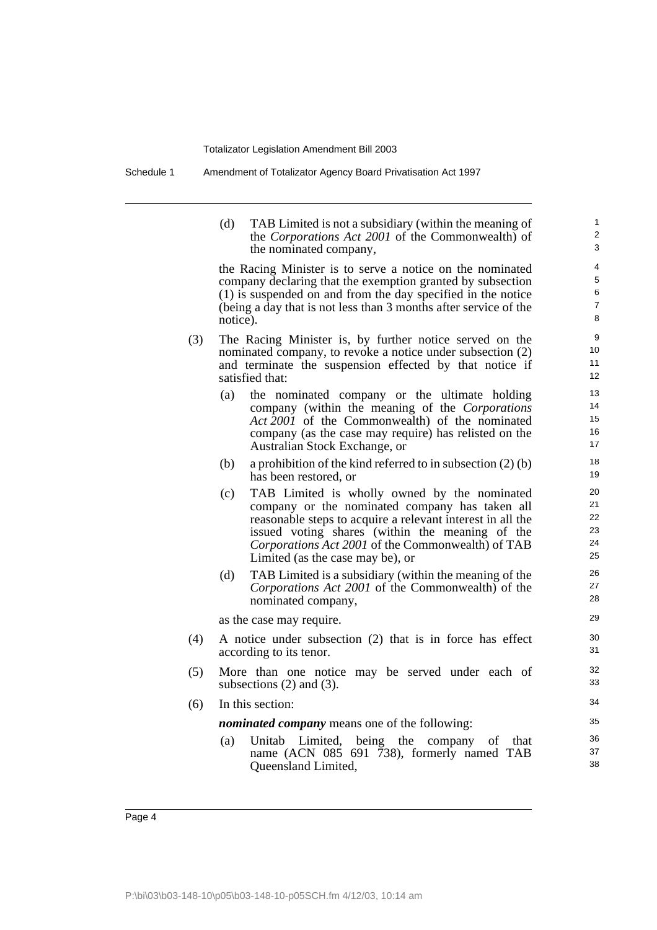Schedule 1 Amendment of Totalizator Agency Board Privatisation Act 1997

(d) TAB Limited is not a subsidiary (within the meaning of the *Corporations Act 2001* of the Commonwealth) of the nominated company,

the Racing Minister is to serve a notice on the nominated company declaring that the exemption granted by subsection (1) is suspended on and from the day specified in the notice (being a day that is not less than 3 months after service of the notice).

- (3) The Racing Minister is, by further notice served on the nominated company, to revoke a notice under subsection (2) and terminate the suspension effected by that notice if satisfied that:
	- (a) the nominated company or the ultimate holding company (within the meaning of the *Corporations Act 2001* of the Commonwealth) of the nominated company (as the case may require) has relisted on the Australian Stock Exchange, or
	- (b) a prohibition of the kind referred to in subsection  $(2)$  (b) has been restored, or
	- (c) TAB Limited is wholly owned by the nominated company or the nominated company has taken all reasonable steps to acquire a relevant interest in all the issued voting shares (within the meaning of the *Corporations Act 2001* of the Commonwealth) of TAB Limited (as the case may be), or
	- (d) TAB Limited is a subsidiary (within the meaning of the *Corporations Act 2001* of the Commonwealth) of the nominated company,

as the case may require.

- (4) A notice under subsection (2) that is in force has effect according to its tenor.
- (5) More than one notice may be served under each of subsections (2) and (3).
- (6) In this section:

*nominated company* means one of the following:

(a) Unitab Limited, being the company of that name (ACN 085 691 738), formerly named TAB Queensland Limited,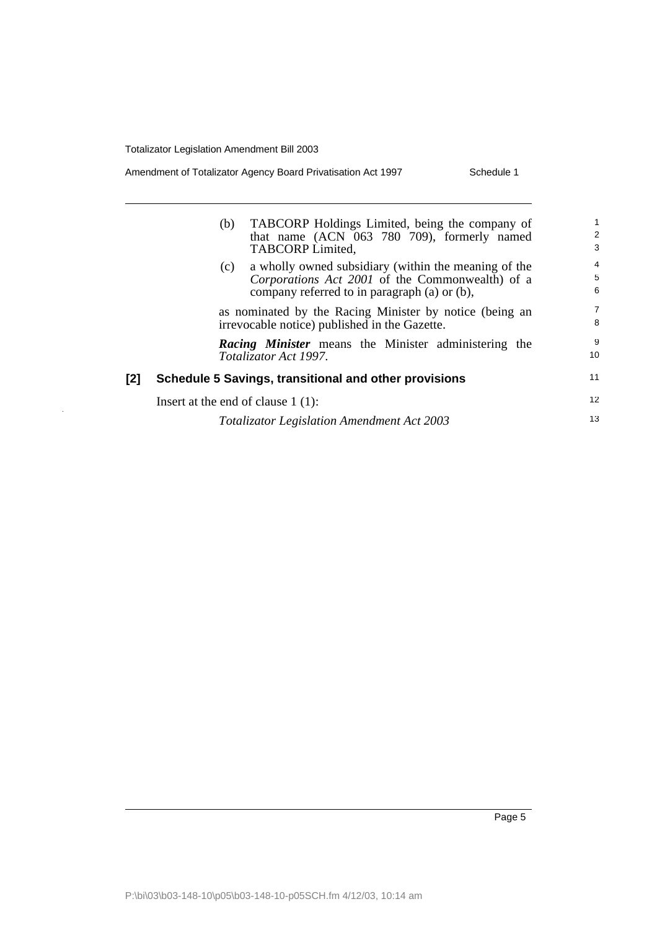$\frac{1}{2}$ 

| Amendment of Totalizator Agency Board Privatisation Act 1997 | Schedule 1 |
|--------------------------------------------------------------|------------|
|--------------------------------------------------------------|------------|

|     | TABCORP Holdings Limited, being the company of<br>(b)<br>that name (ACN 063 780 709), formerly named<br>TABCORP Limited,                                       | 1<br>2<br>3              |
|-----|----------------------------------------------------------------------------------------------------------------------------------------------------------------|--------------------------|
|     | a wholly owned subsidiary (within the meaning of the<br>(c)<br>Corporations Act 2001 of the Commonwealth) of a<br>company referred to in paragraph (a) or (b), | $\overline{4}$<br>5<br>6 |
|     | as nominated by the Racing Minister by notice (being an<br>irrevocable notice) published in the Gazette.                                                       | $\overline{7}$<br>8      |
|     | <b>Racing Minister</b> means the Minister administering the<br>Totalizator Act 1997.                                                                           | 9<br>10                  |
| [2] | Schedule 5 Savings, transitional and other provisions                                                                                                          | 11                       |
|     | Insert at the end of clause $1(1)$ :                                                                                                                           | 12                       |
|     | <b>Totalizator Legislation Amendment Act 2003</b>                                                                                                              | 13                       |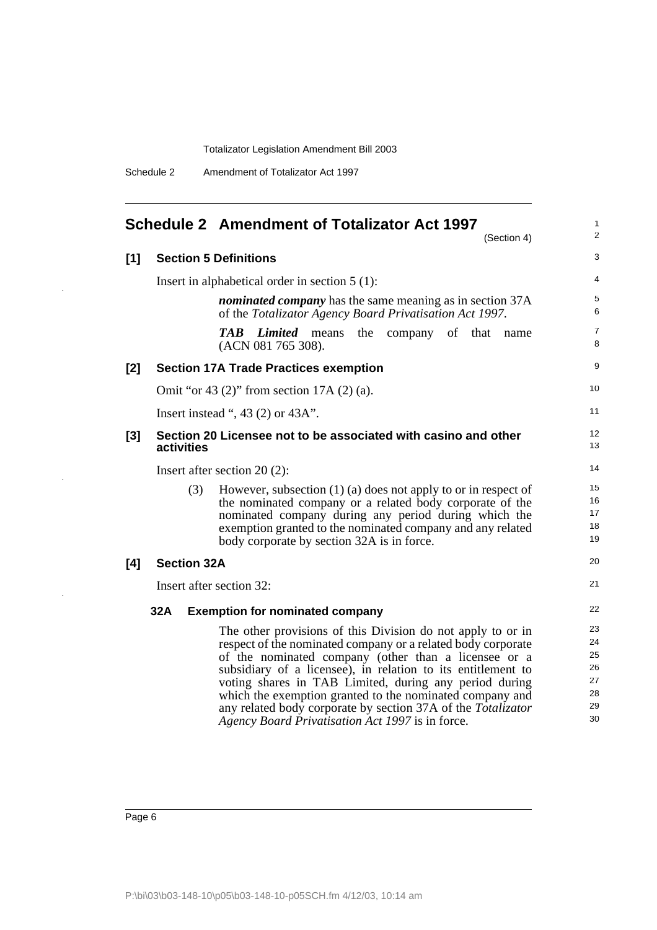Schedule 2 Amendment of Totalizator Act 1997

<span id="page-7-0"></span>

|       |                    | <b>Schedule 2 Amendment of Totalizator Act 1997</b><br>(Section 4)                                                                                                                                                                                                                                                                                                                                                                                                                            | 1<br>2                                       |
|-------|--------------------|-----------------------------------------------------------------------------------------------------------------------------------------------------------------------------------------------------------------------------------------------------------------------------------------------------------------------------------------------------------------------------------------------------------------------------------------------------------------------------------------------|----------------------------------------------|
| [1]   |                    | <b>Section 5 Definitions</b>                                                                                                                                                                                                                                                                                                                                                                                                                                                                  | 3                                            |
|       |                    | Insert in alphabetical order in section $5(1)$ :                                                                                                                                                                                                                                                                                                                                                                                                                                              | 4                                            |
|       |                    | <i>nominated company</i> has the same meaning as in section 37A<br>of the Totalizator Agency Board Privatisation Act 1997.                                                                                                                                                                                                                                                                                                                                                                    | 5<br>6                                       |
|       |                    | <b>TAB</b><br><i>Limited</i> means the<br>company of that<br>name<br>(ACN 081 765 308).                                                                                                                                                                                                                                                                                                                                                                                                       | 7<br>8                                       |
| [2]   |                    | <b>Section 17A Trade Practices exemption</b>                                                                                                                                                                                                                                                                                                                                                                                                                                                  | 9                                            |
|       |                    | Omit "or 43 $(2)$ " from section 17A $(2)$ $(a)$ .                                                                                                                                                                                                                                                                                                                                                                                                                                            | 10                                           |
|       |                    | Insert instead ", 43 $(2)$ or 43A".                                                                                                                                                                                                                                                                                                                                                                                                                                                           | 11                                           |
| $[3]$ | activities         | Section 20 Licensee not to be associated with casino and other                                                                                                                                                                                                                                                                                                                                                                                                                                | 12<br>13                                     |
|       |                    | Insert after section $20(2)$ :                                                                                                                                                                                                                                                                                                                                                                                                                                                                | 14                                           |
|       | (3)                | However, subsection $(1)$ (a) does not apply to or in respect of<br>the nominated company or a related body corporate of the<br>nominated company during any period during which the<br>exemption granted to the nominated company and any related<br>body corporate by section 32A is in force.                                                                                                                                                                                              | 15<br>16<br>17<br>18<br>19                   |
| [4]   | <b>Section 32A</b> |                                                                                                                                                                                                                                                                                                                                                                                                                                                                                               | 20                                           |
|       |                    | Insert after section 32:                                                                                                                                                                                                                                                                                                                                                                                                                                                                      | 21                                           |
|       | 32A                | <b>Exemption for nominated company</b>                                                                                                                                                                                                                                                                                                                                                                                                                                                        | 22                                           |
|       |                    | The other provisions of this Division do not apply to or in<br>respect of the nominated company or a related body corporate<br>of the nominated company (other than a licensee or a<br>subsidiary of a licensee), in relation to its entitlement to<br>voting shares in TAB Limited, during any period during<br>which the exemption granted to the nominated company and<br>any related body corporate by section 37A of the Totalizator<br>Agency Board Privatisation Act 1997 is in force. | 23<br>24<br>25<br>26<br>27<br>28<br>29<br>30 |

i.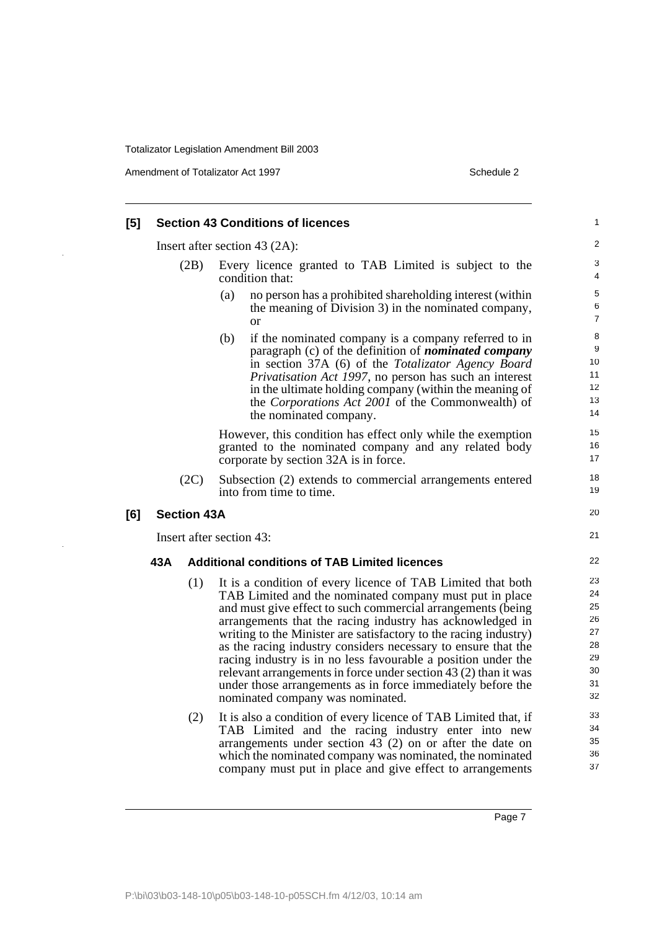Amendment of Totalizator Act 1997 Schedule 2

l,

| [5]                              |     |                    | <b>Section 43 Conditions of licences</b>                                                                                                                                                                                                                                                                                                                                                                                                                                                                                                                                                                                                                                                          | 1                                                              |
|----------------------------------|-----|--------------------|---------------------------------------------------------------------------------------------------------------------------------------------------------------------------------------------------------------------------------------------------------------------------------------------------------------------------------------------------------------------------------------------------------------------------------------------------------------------------------------------------------------------------------------------------------------------------------------------------------------------------------------------------------------------------------------------------|----------------------------------------------------------------|
| Insert after section 43 $(2A)$ : |     |                    |                                                                                                                                                                                                                                                                                                                                                                                                                                                                                                                                                                                                                                                                                                   | 2                                                              |
|                                  |     | (2B)               | Every licence granted to TAB Limited is subject to the<br>condition that:                                                                                                                                                                                                                                                                                                                                                                                                                                                                                                                                                                                                                         | 3<br>4                                                         |
|                                  |     |                    | (a)<br>no person has a prohibited shareholding interest (within<br>the meaning of Division 3) in the nominated company,<br><b>or</b>                                                                                                                                                                                                                                                                                                                                                                                                                                                                                                                                                              | 5<br>6<br>$\overline{7}$                                       |
|                                  |     |                    | (b)<br>if the nominated company is a company referred to in<br>paragraph (c) of the definition of <i>nominated company</i><br>in section 37A (6) of the Totalizator Agency Board<br><i>Privatisation Act 1997</i> , no person has such an interest<br>in the ultimate holding company (within the meaning of<br>the Corporations Act 2001 of the Commonwealth) of<br>the nominated company.                                                                                                                                                                                                                                                                                                       | 8<br>9<br>10 <sup>1</sup><br>11<br>12<br>13<br>14              |
|                                  |     |                    | However, this condition has effect only while the exemption<br>granted to the nominated company and any related body<br>corporate by section 32A is in force.                                                                                                                                                                                                                                                                                                                                                                                                                                                                                                                                     | 15<br>16<br>17                                                 |
|                                  |     | (2C)               | Subsection (2) extends to commercial arrangements entered<br>into from time to time.                                                                                                                                                                                                                                                                                                                                                                                                                                                                                                                                                                                                              | 18<br>19                                                       |
| [6]                              |     | <b>Section 43A</b> |                                                                                                                                                                                                                                                                                                                                                                                                                                                                                                                                                                                                                                                                                                   | 20                                                             |
|                                  |     |                    | Insert after section 43:                                                                                                                                                                                                                                                                                                                                                                                                                                                                                                                                                                                                                                                                          | 21                                                             |
|                                  | 43A |                    | <b>Additional conditions of TAB Limited licences</b>                                                                                                                                                                                                                                                                                                                                                                                                                                                                                                                                                                                                                                              | 22                                                             |
|                                  |     | (1)<br>(2)         | It is a condition of every licence of TAB Limited that both<br>TAB Limited and the nominated company must put in place<br>and must give effect to such commercial arrangements (being<br>arrangements that the racing industry has acknowledged in<br>writing to the Minister are satisfactory to the racing industry)<br>as the racing industry considers necessary to ensure that the<br>racing industry is in no less favourable a position under the<br>relevant arrangements in force under section 43 (2) than it was<br>under those arrangements as in force immediately before the<br>nominated company was nominated.<br>It is also a condition of every licence of TAB Limited that, if | 23<br>24<br>25<br>26<br>27<br>28<br>29<br>30<br>31<br>32<br>33 |
|                                  |     |                    | TAB Limited and the racing industry enter into new<br>arrangements under section $43$ (2) on or after the date on<br>which the nominated company was nominated, the nominated<br>company must put in place and give effect to arrangements                                                                                                                                                                                                                                                                                                                                                                                                                                                        | 34<br>35<br>36<br>37                                           |

Page 7